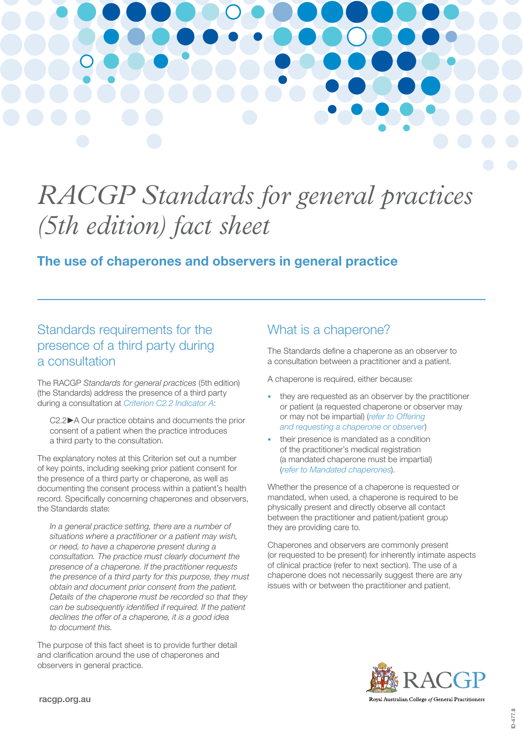

# *RACGP Standards for general practices (5th edition) fact sheet*

### The use of chaperones and observers in general practice

# Standards requirements for the presence of a third party during a consultation

The RACGP *Standards for general practices* (5th edition) (the Standards) address the presence of a third party during a consultation at *[Criterion C2.2 Indicator A](https://www.racgp.org.au/FSDEDEV/media/documents/Running a practice/Practice standards/5th edition/Standards-for-general-practice-5th-edition.pdf#page=38)*:

C2.2**►**A Our practice obtains and documents the prior consent of a patient when the practice introduces a third party to the consultation.

The explanatory notes at this Criterion set out a number of key points, including seeking prior patient consent for the presence of a third party or chaperone, as well as documenting the consent process within a patient's health record. Specifically concerning chaperones and observers, the Standards state:

*In a general practice setting, there are a number of situations where a practitioner or a patient may wish, or need, to have a chaperone present during a consultation. The practice must clearly document the presence of a chaperone. If the practitioner requests the presence of a third party for this purpose, they must obtain and document prior consent from the patient. Details of the chaperone must be recorded so that they can be subsequently identified if required. If the patient declines the offer of a chaperone, it is a good idea to document this.*

The purpose of this fact sheet is to provide further detail and clarification around the use of chaperones and observers in general practice.

# What is a chaperone?

The Standards define a chaperone as an observer to a consultation between a practitioner and a patient.

A chaperone is required, either because:

- they are requested as an observer by the practitioner or patient (a requested chaperone or observer may or may not be impartial) (*refer to [Offering](#page-2-0)  [and requesting a chaperone or observer](#page-2-0)*)
- their presence is mandated as a condition of the practitioner's medical registration (a mandated chaperone must be impartial) (*[refer to Mandated chaperones](#page-3-0)*).

Whether the presence of a chaperone is requested or mandated, when used, a chaperone is required to be physically present and directly observe all contact between the practitioner and patient/patient group they are providing care to.

Chaperones and observers are commonly present (or requested to be present) for inherently intimate aspects of clinical practice (refer to next section). The use of a chaperone does not necessarily suggest there are any issues with or between the practitioner and patient.

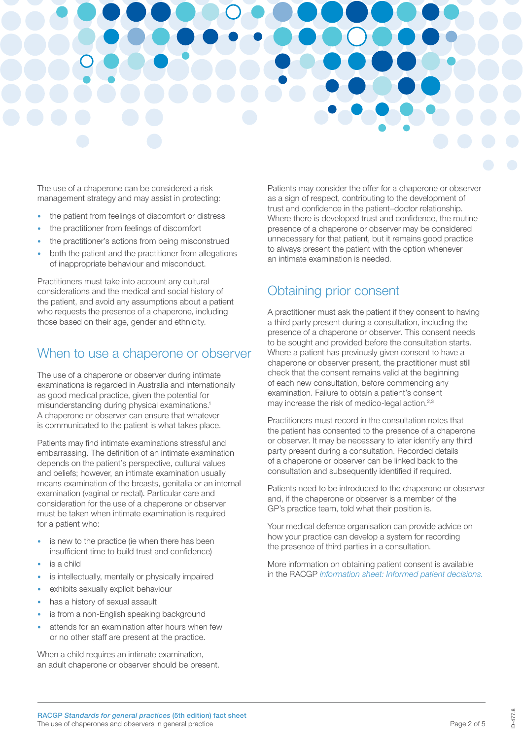

The use of a chaperone can be considered a risk management strategy and may assist in protecting:

- the patient from feelings of discomfort or distress
- the practitioner from feelings of discomfort
- the practitioner's actions from being misconstrued
- both the patient and the practitioner from allegations of inappropriate behaviour and misconduct.

Practitioners must take into account any cultural considerations and the medical and social history of the patient, and avoid any assumptions about a patient who requests the presence of a chaperone, including those based on their age, gender and ethnicity.

### When to use a chaperone or observer

The use of a chaperone or observer during intimate examinations is regarded in Australia and internationally as good medical practice, given the potential for misunderstanding during physical examinations.1 A chaperone or observer can ensure that whatever is communicated to the patient is what takes place.

Patients may find intimate examinations stressful and embarrassing. The definition of an intimate examination depends on the patient's perspective, cultural values and beliefs; however, an intimate examination usually means examination of the breasts, genitalia or an internal examination (vaginal or rectal). Particular care and consideration for the use of a chaperone or observer must be taken when intimate examination is required for a patient who:

- is new to the practice (ie when there has been insufficient time to build trust and confidence)
- is a child
- is intellectually, mentally or physically impaired
- exhibits sexually explicit behaviour
- has a history of sexual assault
- is from a non-English speaking background
- attends for an examination after hours when few or no other staff are present at the practice.

When a child requires an intimate examination, an adult chaperone or observer should be present.

Patients may consider the offer for a chaperone or observer as a sign of respect, contributing to the development of trust and confidence in the patient–doctor relationship. Where there is developed trust and confidence, the routine presence of a chaperone or observer may be considered unnecessary for that patient, but it remains good practice to always present the patient with the option whenever an intimate examination is needed.

### Obtaining prior consent

A practitioner must ask the patient if they consent to having a third party present during a consultation, including the presence of a chaperone or observer. This consent needs to be sought and provided before the consultation starts. Where a patient has previously given consent to have a chaperone or observer present, the practitioner must still check that the consent remains valid at the beginning of each new consultation, before commencing any examination. Failure to obtain a patient's consent may increase the risk of medico-legal action.2,3

Practitioners must record in the consultation notes that the patient has consented to the presence of a chaperone or observer. It may be necessary to later identify any third party present during a consultation. Recorded details of a chaperone or observer can be linked back to the consultation and subsequently identified if required.

Patients need to be introduced to the chaperone or observer and, if the chaperone or observer is a member of the GP's practice team, told what their position is.

Your medical defence organisation can provide advice on how your practice can develop a system for recording the presence of third parties in a consultation.

More information on obtaining patient consent is available in the RACGP *[Information sheet: Informed patient decisions.](https://www.racgp.org.au/FSDEDEV/media/documents/Running a practice/Practice standards/5th edition/RACGP-Information-sheet-Informed-patient-decisions.pdf)*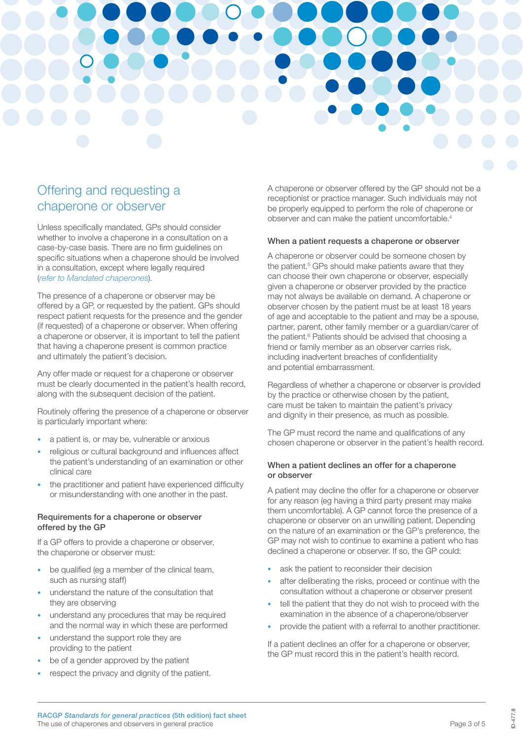

### <span id="page-2-0"></span>Offering and requesting a chaperone or observer

Unless specifically mandated, GPs should consider whether to involve a chaperone in a consultation on a case-by-case basis. There are no firm guidelines on specific situations when a chaperone should be involved in a consultation, except where legally required (*[refer to Mandated chaperones](#page-3-0)*).

The presence of a chaperone or observer may be offered by a GP, or requested by the patient. GPs should respect patient requests for the presence and the gender (if requested) of a chaperone or observer. When offering a chaperone or observer, it is important to tell the patient that having a chaperone present is common practice and ultimately the patient's decision.

Any offer made or request for a chaperone or observer must be clearly documented in the patient's health record, along with the subsequent decision of the patient.

Routinely offering the presence of a chaperone or observer is particularly important where:

- a patient is, or may be, vulnerable or anxious
- religious or cultural background and influences affect the patient's understanding of an examination or other clinical care
- the practitioner and patient have experienced difficulty or misunderstanding with one another in the past.

### Requirements for a chaperone or observer offered by the GP

If a GP offers to provide a chaperone or observer, the chaperone or observer must:

- be qualified (eg a member of the clinical team, such as nursing staff)
- understand the nature of the consultation that they are observing
- understand any procedures that may be required and the normal way in which these are performed
- understand the support role they are providing to the patient
- be of a gender approved by the patient
- respect the privacy and dignity of the patient.

A chaperone or observer offered by the GP should not be a receptionist or practice manager. Such individuals may not be properly equipped to perform the role of chaperone or observer and can make the patient uncomfortable.4

### When a patient requests a chaperone or observer

A chaperone or observer could be someone chosen by the patient.<sup>5</sup> GPs should make patients aware that they can choose their own chaperone or observer, especially given a chaperone or observer provided by the practice may not always be available on demand. A chaperone or observer chosen by the patient must be at least 18 years of age and acceptable to the patient and may be a spouse, partner, parent, other family member or a guardian/carer of the patient.<sup>6</sup> Patients should be advised that choosing a friend or family member as an observer carries risk, including inadvertent breaches of confidentiality and potential embarrassment.

Regardless of whether a chaperone or observer is provided by the practice or otherwise chosen by the patient, care must be taken to maintain the patient's privacy and dignity in their presence, as much as possible.

The GP must record the name and qualifications of any chosen chaperone or observer in the patient's health record.

#### When a patient declines an offer for a chaperone or observer

A patient may decline the offer for a chaperone or observer for any reason (eg having a third party present may make them uncomfortable). A GP cannot force the presence of a chaperone or observer on an unwilling patient. Depending on the nature of an examination or the GP's preference, the GP may not wish to continue to examine a patient who has declined a chaperone or observer. If so, the GP could:

- ask the patient to reconsider their decision
- after deliberating the risks, proceed or continue with the consultation without a chaperone or observer present
- tell the patient that they do not wish to proceed with the examination in the absence of a chaperone/observer
- provide the patient with a referral to another practitioner.

If a patient declines an offer for a chaperone or observer, the GP must record this in the patient's health record.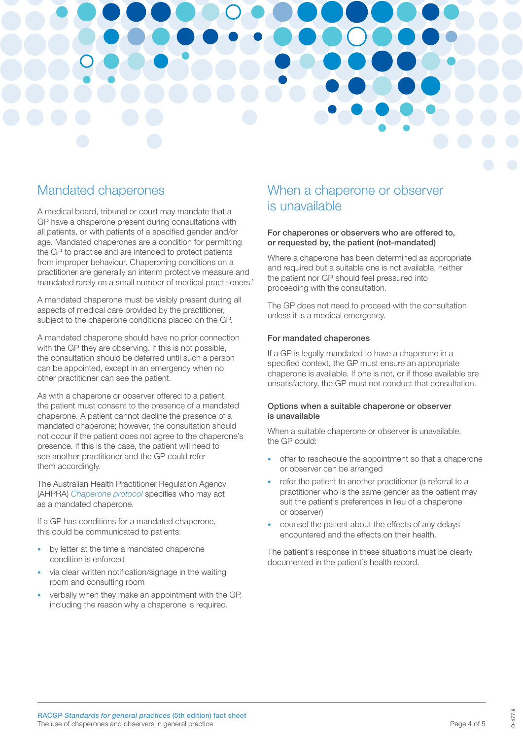

### <span id="page-3-0"></span>Mandated chaperones

A medical board, tribunal or court may mandate that a GP have a chaperone present during consultations with all patients, or with patients of a specified gender and/or age. Mandated chaperones are a condition for permitting the GP to practise and are intended to protect patients from improper behaviour. Chaperoning conditions on a practitioner are generally an interim protective measure and mandated rarely on a small number of medical practitioners.1

A mandated chaperone must be visibly present during all aspects of medical care provided by the practitioner, subject to the chaperone conditions placed on the GP.

A mandated chaperone should have no prior connection with the GP they are observing. If this is not possible, the consultation should be deferred until such a person can be appointed, except in an emergency when no other practitioner can see the patient.

As with a chaperone or observer offered to a patient, the patient must consent to the presence of a mandated chaperone. A patient cannot decline the presence of a mandated chaperone; however, the consultation should not occur if the patient does not agree to the chaperone's presence. If this is the case, the patient will need to see another practitioner and the GP could refer them accordingly.

The Australian Health Practitioner Regulation Agency (AHPRA) *[Chaperone protocol](https://www.ahpra.gov.au/documents/default.aspx?record=WD16%2F19877&dbid=AP&chksum=DojO0or%2FTdDuMaq5wz1JNQ%3D%3D)* specifies who may act as a mandated chaperone.

If a GP has conditions for a mandated chaperone, this could be communicated to patients:

- by letter at the time a mandated chaperone condition is enforced
- via clear written notification/signage in the waiting room and consulting room
- verbally when they make an appointment with the GP, including the reason why a chaperone is required.

### When a chaperone or observer is unavailable

#### For chaperones or observers who are offered to, or requested by, the patient (not-mandated)

Where a chaperone has been determined as appropriate and required but a suitable one is not available, neither the patient nor GP should feel pressured into proceeding with the consultation.

The GP does not need to proceed with the consultation unless it is a medical emergency.

### For mandated chaperones

If a GP is legally mandated to have a chaperone in a specified context, the GP must ensure an appropriate chaperone is available. If one is not, or if those available are unsatisfactory, the GP must not conduct that consultation.

### Options when a suitable chaperone or observer is unavailable

When a suitable chaperone or observer is unavailable, the GP could:

- offer to reschedule the appointment so that a chaperone or observer can be arranged
- refer the patient to another practitioner (a referral to a practitioner who is the same gender as the patient may suit the patient's preferences in lieu of a chaperone or observer)
- counsel the patient about the effects of any delays encountered and the effects on their health.

The patient's response in these situations must be clearly documented in the patient's health record.